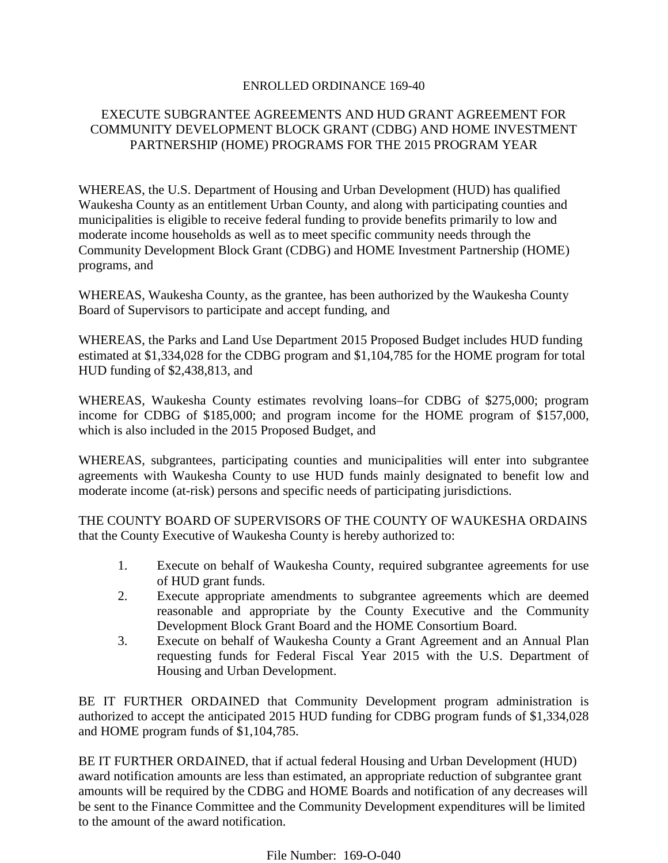#### ENROLLED ORDINANCE 169-40

# EXECUTE SUBGRANTEE AGREEMENTS AND HUD GRANT AGREEMENT FOR COMMUNITY DEVELOPMENT BLOCK GRANT (CDBG) AND HOME INVESTMENT PARTNERSHIP (HOME) PROGRAMS FOR THE 2015 PROGRAM YEAR

WHEREAS, the U.S. Department of Housing and Urban Development (HUD) has qualified Waukesha County as an entitlement Urban County, and along with participating counties and municipalities is eligible to receive federal funding to provide benefits primarily to low and moderate income households as well as to meet specific community needs through the Community Development Block Grant (CDBG) and HOME Investment Partnership (HOME) programs, and

WHEREAS, Waukesha County, as the grantee, has been authorized by the Waukesha County Board of Supervisors to participate and accept funding, and

WHEREAS, the Parks and Land Use Department 2015 Proposed Budget includes HUD funding estimated at \$1,334,028 for the CDBG program and \$1,104,785 for the HOME program for total HUD funding of \$2,438,813, and

WHEREAS, Waukesha County estimates revolving loans–for CDBG of \$275,000; program income for CDBG of \$185,000; and program income for the HOME program of \$157,000, which is also included in the 2015 Proposed Budget, and

WHEREAS, subgrantees, participating counties and municipalities will enter into subgrantee agreements with Waukesha County to use HUD funds mainly designated to benefit low and moderate income (at-risk) persons and specific needs of participating jurisdictions.

THE COUNTY BOARD OF SUPERVISORS OF THE COUNTY OF WAUKESHA ORDAINS that the County Executive of Waukesha County is hereby authorized to:

- 1. Execute on behalf of Waukesha County, required subgrantee agreements for use of HUD grant funds.
- 2. Execute appropriate amendments to subgrantee agreements which are deemed reasonable and appropriate by the County Executive and the Community Development Block Grant Board and the HOME Consortium Board.
- 3. Execute on behalf of Waukesha County a Grant Agreement and an Annual Plan requesting funds for Federal Fiscal Year 2015 with the U.S. Department of Housing and Urban Development.

BE IT FURTHER ORDAINED that Community Development program administration is authorized to accept the anticipated 2015 HUD funding for CDBG program funds of \$1,334,028 and HOME program funds of \$1,104,785.

BE IT FURTHER ORDAINED, that if actual federal Housing and Urban Development (HUD) award notification amounts are less than estimated, an appropriate reduction of subgrantee grant amounts will be required by the CDBG and HOME Boards and notification of any decreases will be sent to the Finance Committee and the Community Development expenditures will be limited to the amount of the award notification.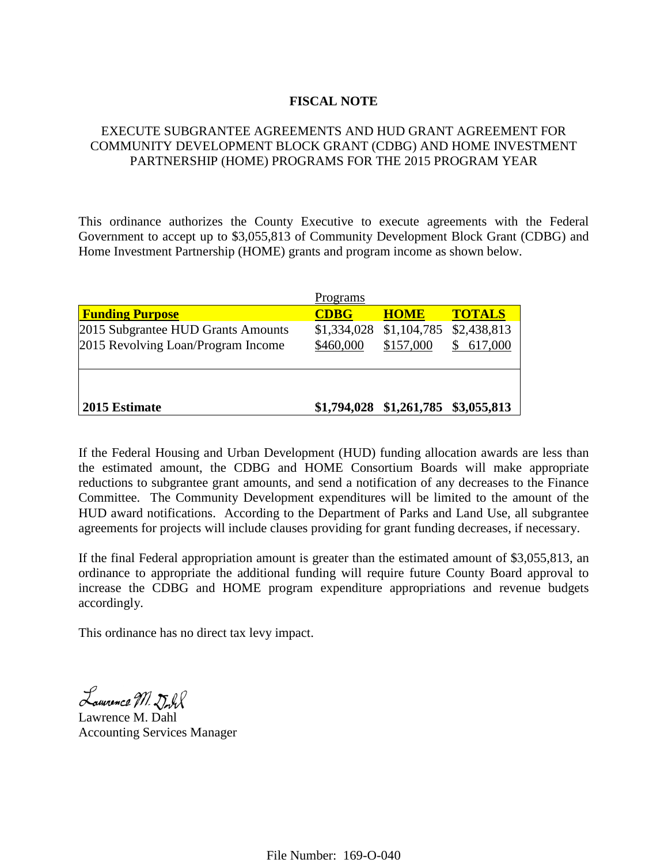### **FISCAL NOTE**

# EXECUTE SUBGRANTEE AGREEMENTS AND HUD GRANT AGREEMENT FOR COMMUNITY DEVELOPMENT BLOCK GRANT (CDBG) AND HOME INVESTMENT PARTNERSHIP (HOME) PROGRAMS FOR THE 2015 PROGRAM YEAR

This ordinance authorizes the County Executive to execute agreements with the Federal Government to accept up to \$3,055,813 of Community Development Block Grant (CDBG) and Home Investment Partnership (HOME) grants and program income as shown below.

|                                    | Programs    |                                     |               |
|------------------------------------|-------------|-------------------------------------|---------------|
| <b>Funding Purpose</b>             | <b>CDBG</b> | <b>HOME</b>                         | <b>TOTALS</b> |
| 2015 Subgrantee HUD Grants Amounts |             | \$1,334,028 \$1,104,785             | \$2,438,813   |
| 2015 Revolving Loan/Program Income | \$460,000   | \$157,000                           | 617,000       |
|                                    |             |                                     |               |
|                                    |             |                                     |               |
|                                    |             |                                     |               |
| 2015 Estimate                      |             | \$1,794,028 \$1,261,785 \$3,055,813 |               |

If the Federal Housing and Urban Development (HUD) funding allocation awards are less than the estimated amount, the CDBG and HOME Consortium Boards will make appropriate reductions to subgrantee grant amounts, and send a notification of any decreases to the Finance Committee. The Community Development expenditures will be limited to the amount of the HUD award notifications. According to the Department of Parks and Land Use, all subgrantee agreements for projects will include clauses providing for grant funding decreases, if necessary.

If the final Federal appropriation amount is greater than the estimated amount of \$3,055,813, an ordinance to appropriate the additional funding will require future County Board approval to increase the CDBG and HOME program expenditure appropriations and revenue budgets accordingly.

This ordinance has no direct tax levy impact.

Laurence M. Dorl

Lawrence M. Dahl Accounting Services Manager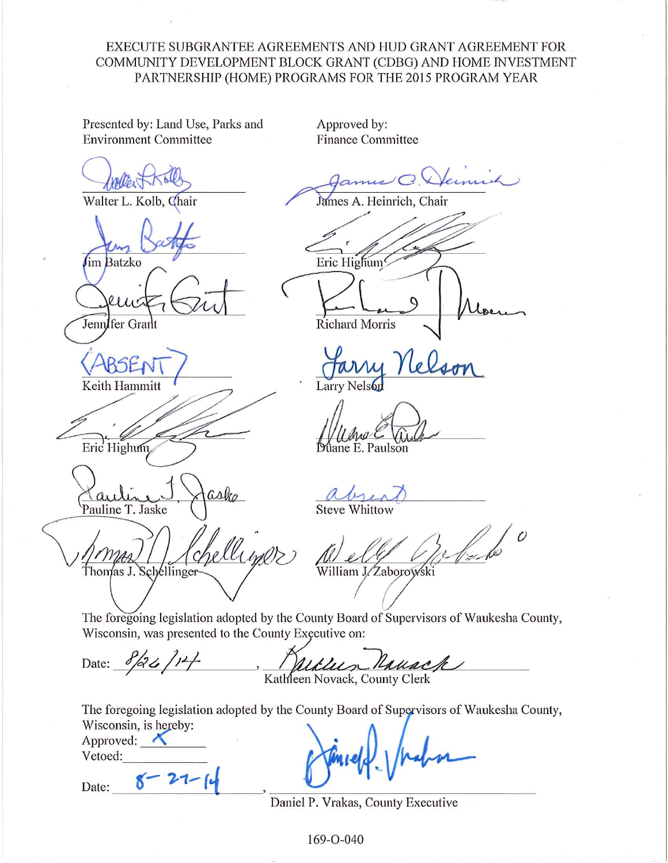# EXECUTE SUBGRANTEE AGREEMENTS AND HUD GRANT AGREEMENT FOR COMMUNITY DEVELOPMENT BLOCK GRANT (CDBG) AND HOME INVESTMENT PARTNERSHIP (HOME) PROGRAMS FOR THE 2015 PROGRAM YEAR

Presented by: Land Use, Parks and **Environment Committee** 

Walter L. Kolb, Chair

**Jim Batzko** 

Jennifer Grant

Keith Hammitt

Eric Highum

Pauline T. Jaske

Thomas J. Schellinger

Approved by: **Finance Committee** 

Heinrich, Chair James A. Eric Highum **Richard Morris** 

**Larry Nels** 

iane E. Paulson

**Steve Whittow** 

 $\overline{O}$ 

William J.⁄Zaborowski

The foregoing legislation adopted by the County Board of Supervisors of Waukesha County, Wisconsin, was presented to the County Executive on:

Date:  $8/26/14$ Usuac Kathleen Novack, County Clerk

The foregoing legislation adopted by the County Board of Supervisors of Waukesha County, Wisconsin, is hereby:

Approved: Vetoed:

Date:

Daniel P. Vrakas, County Executive

169-O-040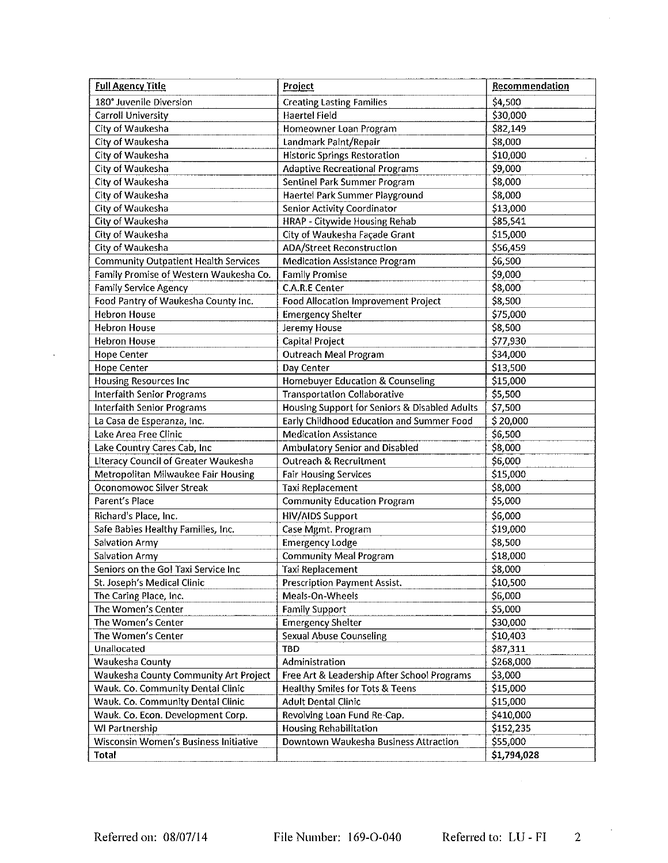| <b>Full Agency Title</b>                    | Project                                       | Recommendation |
|---------------------------------------------|-----------------------------------------------|----------------|
| 180° Juvenile Diversion                     | <b>Creating Lasting Families</b>              | \$4,500        |
| Carroll University                          | <b>Haertel Field</b>                          | \$30,000       |
| City of Waukesha                            | Homeowner Loan Program                        | \$82,149       |
| City of Waukesha                            | Landmark Paint/Repair                         | \$8,000        |
| City of Waukesha                            | <b>Historic Springs Restoration</b>           | \$10,000       |
| City of Waukesha                            | <b>Adaptive Recreational Programs</b>         | \$9,000        |
| City of Waukesha                            | Sentinel Park Summer Program                  | \$8,000        |
| City of Waukesha                            | Haertel Park Summer Playground                | \$8,000        |
| City of Waukesha                            | Senior Activity Coordinator                   | \$13,000       |
| City of Waukesha                            | HRAP - Citywide Housing Rehab                 | \$85,541       |
| City of Waukesha                            | City of Waukesha Façade Grant                 | \$15,000       |
| City of Waukesha                            | <b>ADA/Street Reconstruction</b>              | \$56,459       |
| <b>Community Outpatient Health Services</b> | <b>Medication Assistance Program</b>          | \$6,500        |
| Family Promise of Western Waukesha Co.      | <b>Family Promise</b>                         | \$9,000        |
| <b>Family Service Agency</b>                | C.A.R.E Center                                | \$8,000        |
| Food Pantry of Waukesha County Inc.         | <b>Food Allocation Improvement Project</b>    | \$8,500        |
| <b>Hebron House</b>                         | <b>Emergency Shelter</b>                      | \$75,000       |
| <b>Hebron House</b>                         | Jeremy House                                  | \$8,500        |
| <b>Hebron House</b>                         | Capital Project                               | \$77,930       |
| <b>Hope Center</b>                          | <b>Outreach Meal Program</b>                  | \$34,000       |
| <b>Hope Center</b>                          | Day Center                                    | \$13,500       |
| <b>Housing Resources Inc</b>                | Homebuyer Education & Counseling              | \$15,000       |
| <b>Interfaith Senior Programs</b>           | <b>Transportation Collaborative</b>           | \$5,500        |
| <b>Interfaith Senior Programs</b>           | Housing Support for Seniors & Disabled Adults | \$7,500        |
| La Casa de Esperanza, Inc.                  | Early Childhood Education and Summer Food     | \$20,000       |
| Lake Area Free Clinic                       | <b>Medication Assistance</b>                  | \$6,500        |
| Lake Country Cares Cab, Inc                 | Ambulatory Senior and Disabled                | \$8,000        |
| Literacy Council of Greater Waukesha        | <b>Outreach &amp; Recruitment</b>             | \$6,000        |
| Metropolitan Milwaukee Fair Housing         | <b>Fair Housing Services</b>                  | \$15,000       |
| Oconomowoc Silver Streak                    | <b>Taxi Replacement</b>                       | \$8,000        |
| Parent's Place                              | <b>Community Education Program</b>            | \$5,000        |
| Richard's Place, Inc.                       | <b>HIV/AIDS Support</b>                       | \$6,000        |
| Safe Babies Healthy Families, Inc.          | Case Mgmt. Program                            | \$19,000       |
| <b>Salvation Army</b>                       | <b>Emergency Lodge</b>                        | \$8,500        |
| Salvation Army                              | <b>Community Meal Program</b>                 | \$18,000       |
| Seniors on the Go! Taxi Service Inc         | Taxi Replacement                              | \$8,000        |
| St. Joseph's Medical Clinic                 | Prescription Payment Assist.                  | \$10,500       |
| The Caring Place, Inc.                      | Meals-On-Wheels                               | \$6,000        |
| The Women's Center                          | Family Support                                | \$5,000        |
| The Women's Center                          | <b>Emergency Shelter</b>                      | \$30,000       |
| The Women's Center                          | <b>Sexual Abuse Counseling</b>                | \$10,403       |
| Unallocated                                 | <b>TBD</b>                                    | \$87,311       |
| Waukesha County                             | Administration                                | \$268,000      |
| Waukesha County Community Art Project       | Free Art & Leadership After School Programs   | \$3,000        |
| Wauk. Co. Community Dental Clinic           | <b>Healthy Smiles for Tots &amp; Teens</b>    | \$15,000       |
| Wauk. Co. Community Dental Clinic           | <b>Adult Dental Clinic</b>                    | \$15,000       |
| Wauk. Co. Econ. Development Corp.           | Revolving Loan Fund Re-Cap.                   | \$410,000      |
| WI Partnership                              | <b>Housing Rehabilitation</b>                 | \$152,235      |
| Wisconsin Women's Business Initiative       | Downtown Waukesha Business Attraction         | \$55,000       |
| Total                                       |                                               | \$1,794,028    |

 $\langle \cdot, \cdot \rangle$ 

 $\sim$   $\lambda$ 

 $\mathcal{L}_{\mathcal{A}}$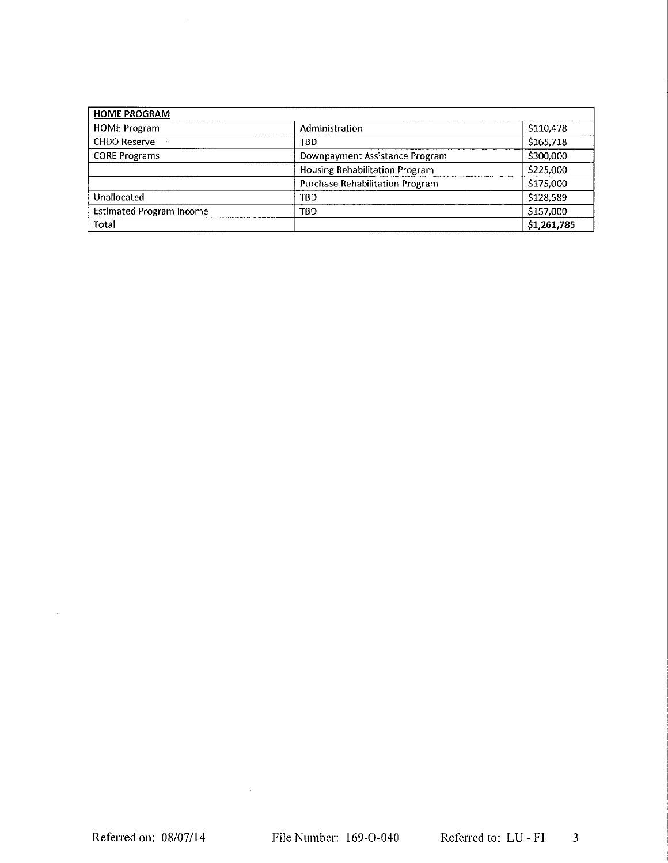| <b>HOME PROGRAM</b>             |                                        |            |
|---------------------------------|----------------------------------------|------------|
| <b>HOME Program</b>             | Administration                         | \$110,478  |
| <b>CHDO Reserve</b>             | TBD                                    | \$165,718  |
| <b>CORE Programs</b>            | Downpayment Assistance Program         | \$300,000  |
|                                 | Housing Rehabilitation Program         | \$225,000  |
|                                 | <b>Purchase Rehabilitation Program</b> | \$175,000  |
| Unallocated                     | TBD                                    | \$128,589  |
| <b>Estimated Program Income</b> | TBD                                    | \$157,000  |
| Total                           |                                        | 51,261,785 |

 $\sim 10^6$ 

 $\sim 10$